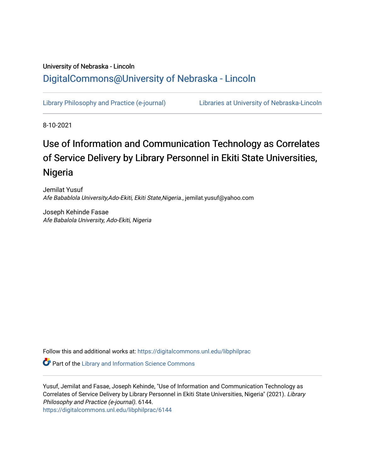# University of Nebraska - Lincoln [DigitalCommons@University of Nebraska - Lincoln](https://digitalcommons.unl.edu/)

[Library Philosophy and Practice \(e-journal\)](https://digitalcommons.unl.edu/libphilprac) [Libraries at University of Nebraska-Lincoln](https://digitalcommons.unl.edu/libraries) 

8-10-2021

# Use of Information and Communication Technology as Correlates of Service Delivery by Library Personnel in Ekiti State Universities, Nigeria

Jemilat Yusuf Afe Babablola University,Ado-Ekiti, Ekiti State,Nigeria., jemilat.yusuf@yahoo.com

Joseph Kehinde Fasae Afe Babalola University, Ado-Ekiti, Nigeria

Follow this and additional works at: [https://digitalcommons.unl.edu/libphilprac](https://digitalcommons.unl.edu/libphilprac?utm_source=digitalcommons.unl.edu%2Flibphilprac%2F6144&utm_medium=PDF&utm_campaign=PDFCoverPages) 

**Part of the Library and Information Science Commons** 

Yusuf, Jemilat and Fasae, Joseph Kehinde, "Use of Information and Communication Technology as Correlates of Service Delivery by Library Personnel in Ekiti State Universities, Nigeria" (2021). Library Philosophy and Practice (e-journal). 6144. [https://digitalcommons.unl.edu/libphilprac/6144](https://digitalcommons.unl.edu/libphilprac/6144?utm_source=digitalcommons.unl.edu%2Flibphilprac%2F6144&utm_medium=PDF&utm_campaign=PDFCoverPages)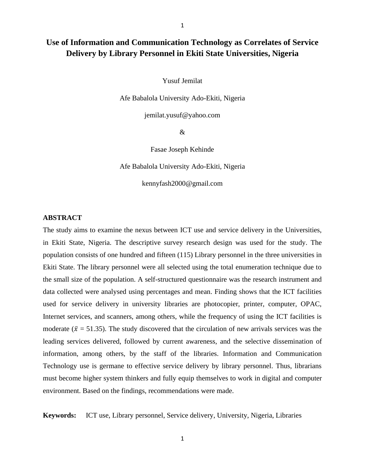# **Use of Information and Communication Technology as Correlates of Service Delivery by Library Personnel in Ekiti State Universities, Nigeria**

Yusuf Jemilat

Afe Babalola University Ado-Ekiti, Nigeria

jemilat.yusuf@yahoo.com

&

Fasae Joseph Kehinde

Afe Babalola University Ado-Ekiti, Nigeria

kennyfash2000@gmail.com

## **ABSTRACT**

The study aims to examine the nexus between ICT use and service delivery in the Universities, in Ekiti State, Nigeria. The descriptive survey research design was used for the study. The population consists of one hundred and fifteen (115) Library personnel in the three universities in Ekiti State. The library personnel were all selected using the total enumeration technique due to the small size of the population. A self-structured questionnaire was the research instrument and data collected were analysed using percentages and mean. Finding shows that the ICT facilities used for service delivery in university libraries are photocopier, printer, computer, OPAC, Internet services, and scanners, among others, while the frequency of using the ICT facilities is moderate ( $\bar{x}$  = 51.35). The study discovered that the circulation of new arrivals services was the leading services delivered, followed by current awareness, and the selective dissemination of information, among others, by the staff of the libraries. Information and Communication Technology use is germane to effective service delivery by library personnel. Thus, librarians must become higher system thinkers and fully equip themselves to work in digital and computer environment. Based on the findings, recommendations were made.

**Keywords:** ICT use, Library personnel, Service delivery, University, Nigeria, Libraries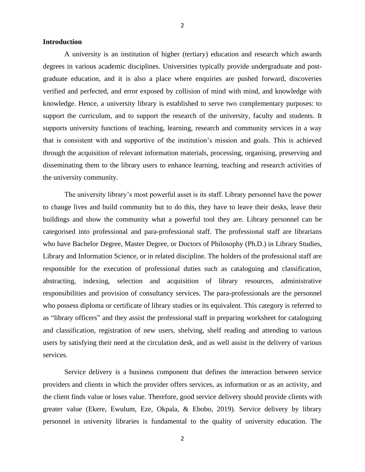#### 2

#### **Introduction**

A university is an institution of higher (tertiary) education and research which awards degrees in various academic disciplines. Universities typically provide undergraduate and postgraduate education, and it is also a place where enquiries are pushed forward, discoveries verified and perfected, and error exposed by collision of mind with mind, and knowledge with knowledge. Hence, a university library is established to serve two complementary purposes: to support the curriculum, and to support the research of the university, faculty and students. It supports university functions of teaching, learning, research and community services in a way that is consistent with and supportive of the institution's mission and goals. This is achieved through the acquisition of relevant information materials, processing, organising, preserving and disseminating them to the library users to enhance learning, teaching and research activities of the university community.

The university library's most powerful asset is its staff. Library personnel have the power to change lives and build community but to do this, they have to leave their desks, leave their buildings and show the community what a powerful tool they are. Library personnel can be categorised into professional and para-professional staff. The professional staff are librarians who have Bachelor Degree, Master Degree, or Doctors of Philosophy (Ph.D.) in Library Studies, Library and Information Science, or in related discipline. The holders of the professional staff are responsible for the execution of professional duties such as cataloguing and classification, abstracting, indexing, selection and acquisition of library resources, administrative responsibilities and provision of consultancy services. The para-professionals are the personnel who possess diploma or certificate of library studies or its equivalent. This category is referred to as "library officers" and they assist the professional staff in preparing worksheet for cataloguing and classification, registration of new users, shelving, shelf reading and attending to various users by satisfying their need at the circulation desk, and as well assist in the delivery of various services.

Service delivery is a business component that defines the interaction between service providers and clients in which the provider offers services, as information or as an activity, and the client finds value or loses value. Therefore, good service delivery should provide clients with greater value (Ekere, Ewulum, Eze, Okpala, & Ebobo, 2019). Service delivery by library personnel in university libraries is fundamental to the quality of university education. The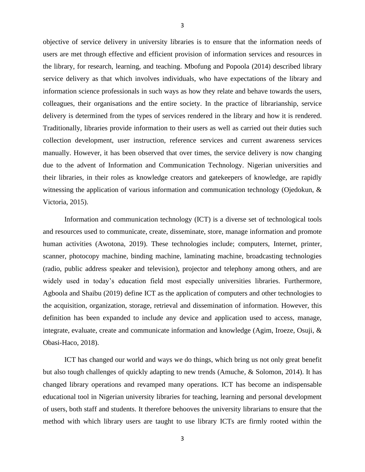objective of service delivery in university libraries is to ensure that the information needs of users are met through effective and efficient provision of information services and resources in the library, for research, learning, and teaching. Mbofung and Popoola (2014) described library service delivery as that which involves individuals, who have expectations of the library and information science professionals in such ways as how they relate and behave towards the users, colleagues, their organisations and the entire society. In the practice of librarianship, service delivery is determined from the types of services rendered in the library and how it is rendered. Traditionally, libraries provide information to their users as well as carried out their duties such collection development, user instruction, reference services and current awareness services manually. However, it has been observed that over times, the service delivery is now changing due to the advent of Information and Communication Technology. Nigerian universities and their libraries, in their roles as knowledge creators and gatekeepers of knowledge, are rapidly witnessing the application of various information and communication technology (Ojedokun, & Victoria, 2015).

Information and communication technology (ICT) is a diverse set of technological tools and resources used to communicate, create, disseminate, store, manage information and promote human activities (Awotona, 2019). These technologies include; computers, Internet, printer, scanner, photocopy machine, binding machine, laminating machine, broadcasting technologies (radio, public address speaker and television), projector and telephony among others, and are widely used in today's education field most especially universities libraries. Furthermore, Agboola and Shaibu (2019) define ICT as the application of computers and other technologies to the acquisition, organization, storage, retrieval and dissemination of information. However, this definition has been expanded to include any device and application used to access, manage, integrate, evaluate, create and communicate information and knowledge (Agim, Iroeze, Osuji, & Obasi-Haco, 2018).

ICT has changed our world and ways we do things, which bring us not only great benefit but also tough challenges of quickly adapting to new trends (Amuche, & Solomon, 2014). It has changed library operations and revamped many operations. ICT has become an indispensable educational tool in Nigerian university libraries for teaching, learning and personal development of users, both staff and students. It therefore behooves the university librarians to ensure that the method with which library users are taught to use library ICTs are firmly rooted within the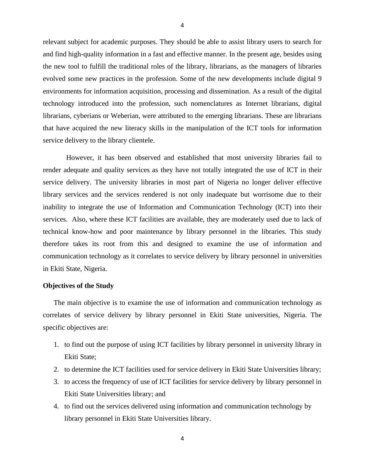relevant subject for academic purposes. They should be able to assist library users to search for and find high-quality information in a fast and effective manner. In the present age, besides using the new tool to fulfill the traditional roles of the library, librarians, as the managers of libraries evolved some new practices in the profession. Some of the new developments include digital 9 environments for information acquisition, processing and dissemination. As a result of the digital technology introduced into the profession, such nomenclatures as Internet librarians, digital librarians, cyberians or Weberian, were attributed to the emerging librarians. These are librarians that have acquired the new literacy skills in the manipulation of the ICT tools for information service delivery to the library clientele.

However, it has been observed and established that most university libraries fail to render adequate and quality services as they have not totally integrated the use of ICT in their service delivery. The university libraries in most part of Nigeria no longer deliver effective library services and the services rendered is not only inadequate but worrisome due to their inability to integrate the use of Information and Communication Technology (ICT) into their services. Also, where these ICT facilities are available, they are moderately used due to lack of technical know-how and poor maintenance by library personnel in the libraries. This study therefore takes its root from this and designed to examine the use of information and communication technology as it correlates to service delivery by library personnel in universities in Ekiti State, Nigeria.

#### **Objectives of the Study**

The main objective is to examine the use of information and communication technology as correlates of service delivery by library personnel in Ekiti State universities, Nigeria. The specific objectives are:

- 1. to find out the purpose of using ICT facilities by library personnel in university library in Ekiti State;
- 2. to determine the ICT facilities used for service delivery in Ekiti State Universities library;
- 3. to access the frequency of use of ICT facilities for service delivery by library personnel in Ekiti State Universities library; and
- 4. to find out the services delivered using information and communication technology by library personnel in Ekiti State Universities library.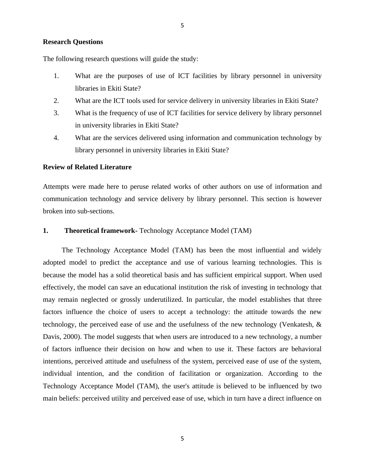#### **Research Questions**

The following research questions will guide the study:

- 1. What are the purposes of use of ICT facilities by library personnel in university libraries in Ekiti State?
- 2. What are the ICT tools used for service delivery in university libraries in Ekiti State?
- 3. What is the frequency of use of ICT facilities for service delivery by library personnel in university libraries in Ekiti State?
- 4. What are the services delivered using information and communication technology by library personnel in university libraries in Ekiti State?

# **Review of Related Literature**

Attempts were made here to peruse related works of other authors on use of information and communication technology and service delivery by library personnel. This section is however broken into sub-sections.

# **1. Theoretical framework-** Technology Acceptance Model (TAM)

The Technology Acceptance Model (TAM) has been the most influential and widely adopted model to predict the acceptance and use of various learning technologies. This is because the model has a solid theoretical basis and has sufficient empirical support. When used effectively, the model can save an educational institution the risk of investing in technology that may remain neglected or grossly underutilized. In particular, the model establishes that three factors influence the choice of users to accept a technology: the attitude towards the new technology, the perceived ease of use and the usefulness of the new technology (Venkatesh, & Davis, 2000). The model suggests that when users are introduced to a new technology, a number of factors influence their decision on how and when to use it. These factors are behavioral intentions, perceived attitude and usefulness of the system, perceived ease of use of the system, individual intention, and the condition of facilitation or organization. According to the Technology Acceptance Model (TAM), the user's attitude is believed to be influenced by two main beliefs: perceived utility and perceived ease of use, which in turn have a direct influence on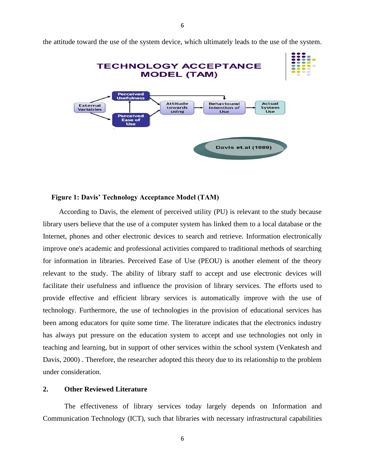

the attitude toward the use of the system device, which ultimately leads to the use of the system.

## **Figure 1: Davis' Technology Acceptance Model (TAM)**

According to Davis, the element of perceived utility (PU) is relevant to the study because library users believe that the use of a computer system has linked them to a local database or the Internet, phones and other electronic devices to search and retrieve. Information electronically improve one's academic and professional activities compared to traditional methods of searching for information in libraries. Perceived Ease of Use (PEOU) is another element of the theory relevant to the study. The ability of library staff to accept and use electronic devices will facilitate their usefulness and influence the provision of library services. The efforts used to provide effective and efficient library services is automatically improve with the use of technology. Furthermore, the use of technologies in the provision of educational services has been among educators for quite some time. The literature indicates that the electronics industry has always put pressure on the education system to accept and use technologies not only in teaching and learning, but in support of other services within the school system (Venkatesh and Davis, 2000) . Therefore, the researcher adopted this theory due to its relationship to the problem under consideration.

#### **2. Other Reviewed Literature**

The effectiveness of library services today largely depends on Information and Communication Technology (ICT), such that libraries with necessary infrastructural capabilities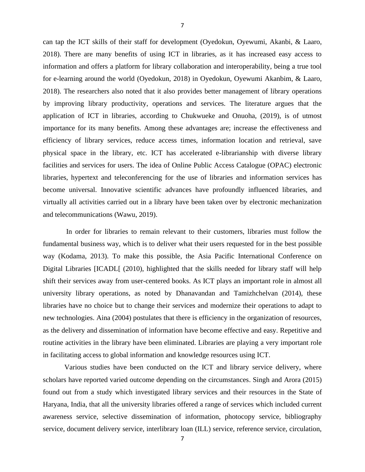can tap the ICT skills of their staff for development (Oyedokun, Oyewumi, Akanbi, & Laaro, 2018). There are many benefits of using ICT in libraries, as it has increased easy access to information and offers a platform for library collaboration and interoperability, being a true tool for e-learning around the world (Oyedokun, 2018) in Oyedokun, Oyewumi Akanbim, & Laaro, 2018). The researchers also noted that it also provides better management of library operations by improving library productivity, operations and services. The literature argues that the application of ICT in libraries, according to Chukwueke and Onuoha, (2019), is of utmost importance for its many benefits. Among these advantages are; increase the effectiveness and efficiency of library services, reduce access times, information location and retrieval, save physical space in the library, etc. ICT has accelerated e-librarianship with diverse library facilities and services for users. The idea of Online Public Access Catalogue (OPAC) electronic libraries, hypertext and teleconferencing for the use of libraries and information services has become universal. Innovative scientific advances have profoundly influenced libraries, and virtually all activities carried out in a library have been taken over by electronic mechanization and telecommunications (Wawu, 2019).

In order for libraries to remain relevant to their customers, libraries must follow the fundamental business way, which is to deliver what their users requested for in the best possible way (Kodama, 2013). To make this possible, the Asia Pacific International Conference on Digital Libraries [ICADL] (2010), highlighted that the skills needed for library staff will help shift their services away from user-centered books. As ICT plays an important role in almost all university library operations, as noted by Dhanavandan and Tamizhchelvan (2014), these libraries have no choice but to change their services and modernize their operations to adapt to new technologies. Aina (2004) postulates that there is efficiency in the organization of resources, as the delivery and dissemination of information have become effective and easy. Repetitive and routine activities in the library have been eliminated. Libraries are playing a very important role in facilitating access to global information and knowledge resources using ICT.

Various studies have been conducted on the ICT and library service delivery, where scholars have reported varied outcome depending on the circumstances. Singh and Arora (2015) found out from a study which investigated library services and their resources in the State of Haryana, India, that all the university libraries offered a range of services which included current awareness service, selective dissemination of information, photocopy service, bibliography service, document delivery service, interlibrary loan (ILL) service, reference service, circulation,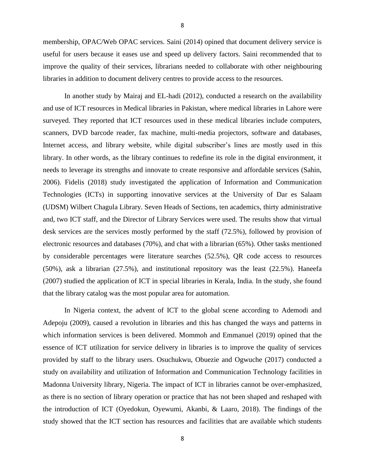membership, OPAC/Web OPAC services. Saini (2014) opined that document delivery service is useful for users because it eases use and speed up delivery factors. Saini recommended that to improve the quality of their services, librarians needed to collaborate with other neighbouring libraries in addition to document delivery centres to provide access to the resources.

In another study by Mairaj and EL-hadi (2012), conducted a research on the availability and use of ICT resources in Medical libraries in Pakistan, where medical libraries in Lahore were surveyed. They reported that ICT resources used in these medical libraries include computers, scanners, DVD barcode reader, fax machine, multi-media projectors, software and databases, Internet access, and library website, while digital subscriber's lines are mostly used in this library. In other words, as the library continues to redefine its role in the digital environment, it needs to leverage its strengths and innovate to create responsive and affordable services (Sahin, 2006). Fidelis (2018) study investigated the application of Information and Communication Technologies (ICTs) in supporting innovative services at the University of Dar es Salaam (UDSM) Wilbert Chagula Library. Seven Heads of Sections, ten academics, thirty administrative and, two ICT staff, and the Director of Library Services were used. The results show that virtual desk services are the services mostly performed by the staff (72.5%), followed by provision of electronic resources and databases (70%), and chat with a librarian (65%). Other tasks mentioned by considerable percentages were literature searches (52.5%), QR code access to resources (50%), ask a librarian (27.5%), and institutional repository was the least (22.5%). Haneefa (2007) studied the application of ICT in special libraries in Kerala, India. In the study, she found that the library catalog was the most popular area for automation.

In Nigeria context, the advent of ICT to the global scene according to Ademodi and Adepoju (2009), caused a revolution in libraries and this has changed the ways and patterns in which information services is been delivered. Mommoh and Emmanuel (2019) opined that the essence of ICT utilization for service delivery in libraries is to improve the quality of services provided by staff to the library users. Osuchukwu, Obuezie and Ogwuche (2017) conducted a study on availability and utilization of Information and Communication Technology facilities in Madonna University library, Nigeria. The impact of ICT in libraries cannot be over-emphasized, as there is no section of library operation or practice that has not been shaped and reshaped with the introduction of ICT (Oyedokun, Oyewumi, Akanbi, & Laaro, 2018). The findings of the study showed that the ICT section has resources and facilities that are available which students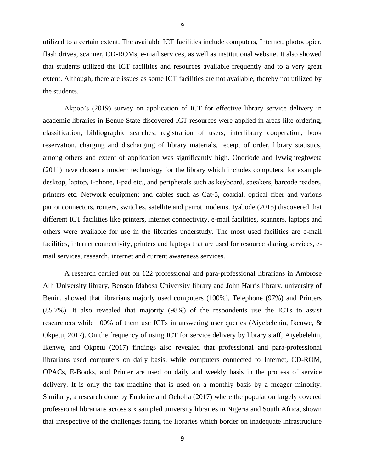utilized to a certain extent. The available ICT facilities include computers, Internet, photocopier, flash drives, scanner, CD-ROMs, e-mail services, as well as institutional website. It also showed that students utilized the ICT facilities and resources available frequently and to a very great extent. Although, there are issues as some ICT facilities are not available, thereby not utilized by the students.

Akpoo's (2019) survey on application of ICT for effective library service delivery in academic libraries in Benue State discovered ICT resources were applied in areas like ordering, classification, bibliographic searches, registration of users, interlibrary cooperation, book reservation, charging and discharging of library materials, receipt of order, library statistics, among others and extent of application was significantly high. Onoriode and Ivwighreghweta (2011) have chosen a modern technology for the library which includes computers, for example desktop, laptop, I-phone, I-pad etc., and peripherals such as keyboard, speakers, barcode readers, printers etc. Network equipment and cables such as Cat-5, coaxial, optical fiber and various parrot connectors, routers, switches, satellite and parrot modems. Iyabode (2015) discovered that different ICT facilities like printers, internet connectivity, e-mail facilities, scanners, laptops and others were available for use in the libraries understudy. The most used facilities are e-mail facilities, internet connectivity, printers and laptops that are used for resource sharing services, email services, research, internet and current awareness services.

A research carried out on 122 professional and para-professional librarians in Ambrose Alli University library, Benson Idahosa University library and John Harris library, university of Benin, showed that librarians majorly used computers (100%), Telephone (97%) and Printers (85.7%). It also revealed that majority (98%) of the respondents use the ICTs to assist researchers while 100% of them use ICTs in answering user queries (Aiyebelehin, Ikenwe, & Okpetu, 2017). On the frequency of using ICT for service delivery by library staff, Aiyebelehin, Ikenwe, and Okpetu (2017) findings also revealed that professional and para-professional librarians used computers on daily basis, while computers connected to Internet, CD-ROM, OPACs, E-Books, and Printer are used on daily and weekly basis in the process of service delivery. It is only the fax machine that is used on a monthly basis by a meager minority. Similarly, a research done by Enakrire and Ocholla (2017) where the population largely covered professional librarians across six sampled university libraries in Nigeria and South Africa, shown that irrespective of the challenges facing the libraries which border on inadequate infrastructure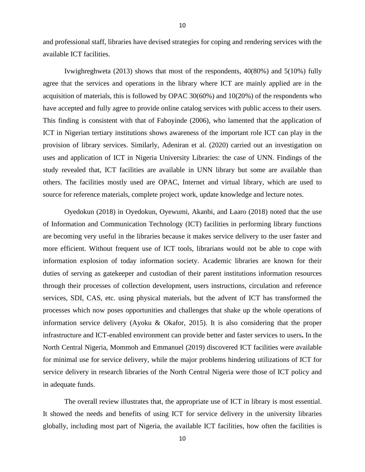and professional staff, libraries have devised strategies for coping and rendering services with the available ICT facilities.

Ivwighreghweta (2013) shows that most of the respondents, 40(80%) and 5(10%) fully agree that the services and operations in the library where ICT are mainly applied are in the acquisition of materials, this is followed by OPAC 30(60%) and 10(20%) of the respondents who have accepted and fully agree to provide online catalog services with public access to their users. This finding is consistent with that of Faboyinde (2006), who lamented that the application of ICT in Nigerian tertiary institutions shows awareness of the important role ICT can play in the provision of library services. Similarly, Adeniran et al. (2020) carried out an investigation on uses and application of ICT in Nigeria University Libraries: the case of UNN. Findings of the study revealed that, ICT facilities are available in UNN library but some are available than others. The facilities mostly used are OPAC, Internet and virtual library, which are used to source for reference materials, complete project work, update knowledge and lecture notes.

Oyedokun (2018) in Oyedokun, Oyewumi, Akanbi, and Laaro (2018) noted that the use of Information and Communication Technology (ICT) facilities in performing library functions are becoming very useful in the libraries because it makes service delivery to the user faster and more efficient. Without frequent use of ICT tools, librarians would not be able to cope with information explosion of today information society. Academic libraries are known for their duties of serving as gatekeeper and custodian of their parent institutions information resources through their processes of collection development, users instructions, circulation and reference services, SDI, CAS, etc. using physical materials, but the advent of ICT has transformed the processes which now poses opportunities and challenges that shake up the whole operations of information service delivery (Ayoku & Okafor, 2015). It is also considering that the proper infrastructure and ICT-enabled environment can provide better and faster services to users**.** In the North Central Nigeria, Mommoh and Emmanuel (2019) discovered ICT facilities were available for minimal use for service delivery, while the major problems hindering utilizations of ICT for service delivery in research libraries of the North Central Nigeria were those of ICT policy and in adequate funds.

The overall review illustrates that, the appropriate use of ICT in library is most essential. It showed the needs and benefits of using ICT for service delivery in the university libraries globally, including most part of Nigeria, the available ICT facilities, how often the facilities is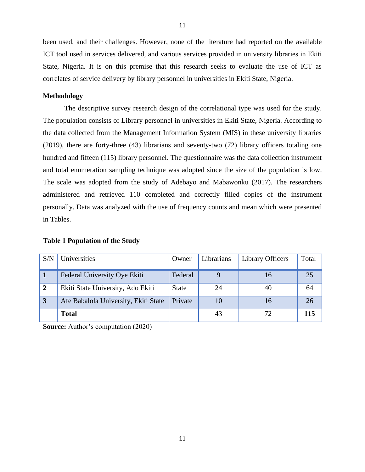been used, and their challenges. However, none of the literature had reported on the available ICT tool used in services delivered, and various services provided in university libraries in Ekiti State, Nigeria. It is on this premise that this research seeks to evaluate the use of ICT as correlates of service delivery by library personnel in universities in Ekiti State, Nigeria.

# **Methodology**

The descriptive survey research design of the correlational type was used for the study. The population consists of Library personnel in universities in Ekiti State, Nigeria. According to the data collected from the Management Information System (MIS) in these university libraries (2019), there are forty-three (43) librarians and seventy-two (72) library officers totaling one hundred and fifteen (115) library personnel. The questionnaire was the data collection instrument and total enumeration sampling technique was adopted since the size of the population is low. The scale was adopted from the study of Adebayo and Mabawonku (2017). The researchers administered and retrieved 110 completed and correctly filled copies of the instrument personally. Data was analyzed with the use of frequency counts and mean which were presented in Tables.

| S/N            | Universities                         | Owner   | Librarians | Library Officers | Total |
|----------------|--------------------------------------|---------|------------|------------------|-------|
|                | Federal University Oye Ekiti         | Federal |            | 16               | 25    |
| $\overline{2}$ | Ekiti State University, Ado Ekiti    | State   | 24         | 40               | 64    |
| $\overline{3}$ | Afe Babalola University, Ekiti State | Private | 10         | 16               | 26    |
|                | <b>Total</b>                         |         | 43         | 72               | 115   |

#### **Table 1 Population of the Study**

**Source:** Author's computation (2020)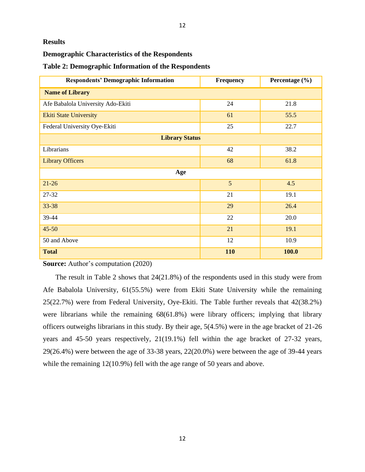## **Results**

# **Demographic Characteristics of the Respondents**

| <b>Respondents' Demographic Information</b> | <b>Frequency</b> | Percentage (%) |
|---------------------------------------------|------------------|----------------|
| <b>Name of Library</b>                      |                  |                |
| Afe Babalola University Ado-Ekiti           | 24               | 21.8           |
| <b>Ekiti State University</b>               | 61               | 55.5           |
| Federal University Oye-Ekiti                | 25               | 22.7           |
| <b>Library Status</b>                       |                  |                |
| Librarians                                  | 42               | 38.2           |
| <b>Library Officers</b>                     | 68               | 61.8           |
| Age                                         |                  |                |
| $21-26$                                     | 5                | 4.5            |
| 27-32                                       | 21               | 19.1           |
| 33-38                                       | 29               | 26.4           |
| 39-44                                       | 22               | 20.0           |
| $45 - 50$                                   | 21               | 19.1           |
| 50 and Above                                | 12               | 10.9           |
| <b>Total</b>                                | 110              | 100.0          |

**Source:** Author's computation (2020)

 The result in Table 2 shows that 24(21.8%) of the respondents used in this study were from Afe Babalola University, 61(55.5%) were from Ekiti State University while the remaining 25(22.7%) were from Federal University, Oye-Ekiti. The Table further reveals that 42(38.2%) were librarians while the remaining 68(61.8%) were library officers; implying that library officers outweighs librarians in this study. By their age, 5(4.5%) were in the age bracket of 21-26 years and 45-50 years respectively, 21(19.1%) fell within the age bracket of 27-32 years, 29(26.4%) were between the age of 33-38 years, 22(20.0%) were between the age of 39-44 years while the remaining 12(10.9%) fell with the age range of 50 years and above.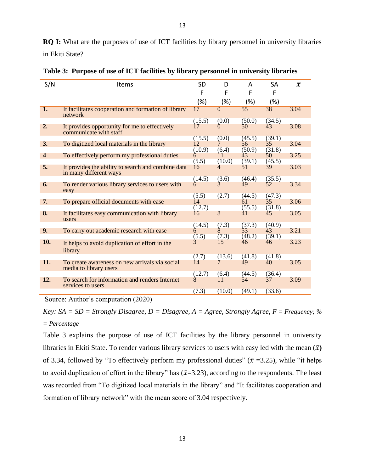| S/N                     | Items                                                                    | <b>SD</b>  | D              | A               | <b>SA</b>    | $\overline{x}$ |
|-------------------------|--------------------------------------------------------------------------|------------|----------------|-----------------|--------------|----------------|
|                         |                                                                          | F          | F              | F               | F            |                |
|                         |                                                                          | (%)        | (%)            | (%)             | (%)          |                |
| $\overline{1}$ .        | It facilitates cooperation and formation of library<br>network           | 17         | $\Omega$       | $\overline{55}$ | 38           | 3.04           |
|                         |                                                                          | (15.5)     | (0.0)          | (50.0)          | (34.5)       |                |
| 2.                      | It provides opportunity for me to effectively<br>communicate with staff  | 17         | $\Omega$       | 50              | 43           | 3.08           |
|                         |                                                                          | (15.5)     | (0.0)          | (45.5)          | (39.1)       |                |
| 3.                      | To digitized local materials in the library                              | 12         | 7              | 56              | 35           | 3.04           |
|                         |                                                                          | (10.9)     | (6.4)          | (50.9)          | (31.8)       |                |
| $\overline{\mathbf{4}}$ | To effectively perform my professional duties                            | 6<br>(5.5) | 11<br>(10.0)   | 43<br>(39.1)    | 50<br>(45.5) | 3.25           |
| 5.                      | It provides the ability to search and combine data                       | 16         | $\overline{4}$ | 51              | 39           | 3.03           |
|                         | in many different ways                                                   |            |                |                 |              |                |
|                         |                                                                          | (14.5)     | (3.6)          | (46.4)          | (35.5)       |                |
| 6.                      | To render various library services to users with<br>easy                 | 6          | Ŕ,             | 49              | 52           | 3.34           |
|                         |                                                                          | (5.5)      | (2.7)          | (44.5)          | (47.3)       |                |
| 7.                      | To prepare official documents with ease                                  | 14         |                | 61              | 35           | 3.06           |
|                         |                                                                          | (12.7)     |                | (55.5)          | (31.8)       |                |
| 8.                      | It facilitates easy communication with library<br>users                  | 16         | 8              | 41              | 45           | 3.05           |
|                         |                                                                          | (14.5)     | (7.3)          | (37.3)          | (40.9)       |                |
| 9.                      | To carry out academic research with ease                                 | 6          | 8              | 53              | 43           | 3.21           |
|                         |                                                                          | (5.5)      | (7.3)          | (48.2)          | (39.1)       |                |
| 10.                     | It helps to avoid duplication of effort in the<br>library                |            | 15             | 46              | 46           | 3.23           |
|                         |                                                                          | (2.7)      | (13.6)         | (41.8)          | (41.8)       |                |
| 11.                     | To create awareness on new arrivals via social<br>media to library users | 14         |                | 49              | 40           | 3.05           |
|                         |                                                                          | (12.7)     | (6.4)          | (44.5)          | (36.4)       |                |
| 12.                     | To search for information and renders Internet<br>services to users      | 8          | 11             | 54              | 37           | 3.09           |
|                         |                                                                          | (7.3)      | (10.0)         | (49.1)          | (33.6)       |                |

**Table 3: Purpose of use of ICT facilities by library personnel in university libraries**

Source: Author's computation (2020)

*Key:*  $SA = SD =$  *Strongly Disagree, D = Disagree, A = Agree, Strongly Agree, F = Frequency; % = Percentage*

Table 3 explains the purpose of use of ICT facilities by the library personnel in university libraries in Ekiti State. To render various library services to users with easy led with the mean  $(\bar{x})$ of 3.34, followed by "To effectively perform my professional duties" ( $\bar{x}$  =3.25), while "it helps to avoid duplication of effort in the library" has  $(\bar{x}=3.23)$ , according to the respondents. The least was recorded from "To digitized local materials in the library" and "It facilitates cooperation and formation of library network" with the mean score of 3.04 respectively.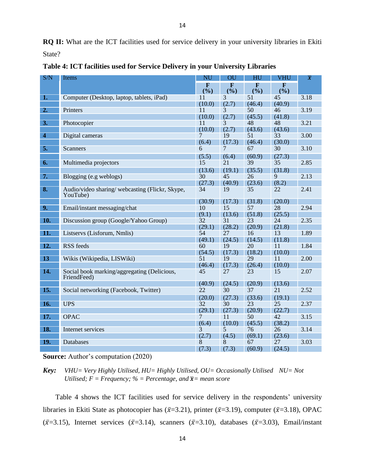**RQ II:** What are the ICT facilities used for service delivery in your university libraries in Ekiti State?

| S/N                       | Items                                                       |                    | OU           | HU                 | VHU                | $\overline{\pmb{\chi}}$ |
|---------------------------|-------------------------------------------------------------|--------------------|--------------|--------------------|--------------------|-------------------------|
|                           |                                                             | $\mathbf F$<br>(%) | F<br>(%)     | $\mathbf F$<br>(%) | $\mathbf F$<br>(%) |                         |
| 1.                        | Computer (Desktop, laptop, tablets, iPad)                   | 11                 | 3            | 51                 | 45                 | 3.18                    |
|                           |                                                             | (10.0)             | (2.7)        | (46.4)             | (40.9)             |                         |
| 2.                        | Printers                                                    | 11                 | 3            | 50                 | 46                 | 3.19                    |
|                           |                                                             | (10.0)             | (2.7)        | (45.5)             | (41.8)             |                         |
| 3.                        | Photocopier                                                 | 11                 | 3            | 48                 | 48                 | 3.21                    |
|                           |                                                             | (10.0)             | (2.7)        | (43.6)             | (43.6)             |                         |
| $\overline{4}$            | Digital cameras                                             | 7                  | 19           | 51                 | 33                 | 3.00                    |
|                           |                                                             | (6.4)              | (17.3)       | (46.4)             | (30.0)             |                         |
| 5.                        | <b>Scanners</b>                                             | 6                  | 7            | 67                 | 30                 | 3.10                    |
|                           |                                                             | (5.5)              | (6.4)        | (60.9)             | (27.3)             |                         |
| 6.                        | Multimedia projectors                                       | 15                 | 21           | 39                 | 35                 | 2.85                    |
|                           |                                                             | (13.6)             | (19.1)       | (35.5)             | (31.8)             |                         |
| 7.                        | Blogging (e.g weblogs)                                      | $\overline{30}$    | 45           | 26                 | $\overline{9}$     | 2.13                    |
|                           |                                                             | (27.3)             | (40.9)       | (23.6)             | (8.2)              |                         |
| $\overline{\mathbf{8}}$ . | Audio/video sharing/ webcasting (Flickr, Skype,<br>YouTube) | 34                 | 19           | 35                 | 22                 | 2.41                    |
|                           |                                                             | (30.9)             | (17.3)       | (31.8)             | (20.0)             |                         |
| 9.                        | Email/instant messaging/chat                                | 10                 | 15           | 57                 | 28                 | 2.94                    |
|                           |                                                             | (9.1)              | (13.6)       | (51.8)             | (25.5)             |                         |
| 10.                       | Discussion group (Google/Yahoo Group)                       | 32                 | 31           | 23                 | 24                 | 2.35                    |
|                           |                                                             | (29.1)             | (28.2)       | (20.9)             | (21.8)             |                         |
| $\overline{11}$ .         | Listservs (Lisforum, Nmlis)                                 | 54                 | 27           | 16                 | 13                 | 1.89                    |
| 12.                       |                                                             | (49.1)<br>60       | (24.5)       | (14.5)             | (11.8)             |                         |
|                           | <b>RSS</b> feeds                                            | (54.5)             | 19<br>(17.3) | 20                 | 11<br>(10.0)       | 1.84                    |
| 13                        | Wikis (Wikipedia, LISWiki)                                  | 51                 | 19           | (18.2)<br>29       | 11                 | 2.00                    |
|                           |                                                             | (46.4)             | (17.3)       | (26.4)             | (10.0)             |                         |
| 14.                       | Social book marking/aggregating (Delicious,<br>FriendFeed)  | 45                 | 27           | 23                 | 15                 | 2.07                    |
|                           |                                                             | (40.9)             | (24.5)       | (20.9)             | (13.6)             |                         |
| 15.                       | Social networking (Facebook, Twitter)                       | 22                 | 30           | 37                 | 21                 | 2.52                    |
|                           |                                                             | (20.0)             | (27.3)       | (33.6)             | (19.1)             |                         |
| 16.                       | <b>UPS</b>                                                  | 32                 | 30           | 23                 | 25                 | 2.37                    |
|                           |                                                             | (29.1)             | (27.3)       | (20.9)             | (22.7)             |                         |
| 17.                       | <b>OPAC</b>                                                 | 7                  | 11           | 50                 | 42                 | 3.15                    |
|                           |                                                             | (6.4)              | (10.0)       | (45.5)             | (38.2)             |                         |
| 18.                       | Internet services                                           | $\overline{3}$     | 5            | 76                 | 26                 | 3.14                    |
|                           |                                                             | (2.7)              | (4.5)        | (69.1)             | (23.6)             |                         |
| 19.                       | Databases                                                   | 8                  | 8            | 67                 | 27                 | 3.03                    |
|                           |                                                             | (7.3)              | (7.3)        | (60.9)             | (24.5)             |                         |

**Table 4: ICT facilities used for Service Delivery in your University Libraries**

**Source:** Author's computation (2020)

*Key: VHU= Very Highly Utilised, HU= Highly Utilised, OU= Occasionally Utilised NU= Not Utilised;*  $F = F$ *requency;* % = *Percentage, and*  $\overline{x}$  = *mean score* 

 Table 4 shows the ICT facilities used for service delivery in the respondents' university libraries in Ekiti State as photocopier has ( $\bar{x}$ =3.21), printer ( $\bar{x}$ =3.19), computer ( $\bar{x}$ =3.18), OPAC  $(\bar{x}=3.15)$ , Internet services  $(\bar{x}=3.14)$ , scanners  $(\bar{x}=3.10)$ , databases  $(\bar{x}=3.03)$ , Email/instant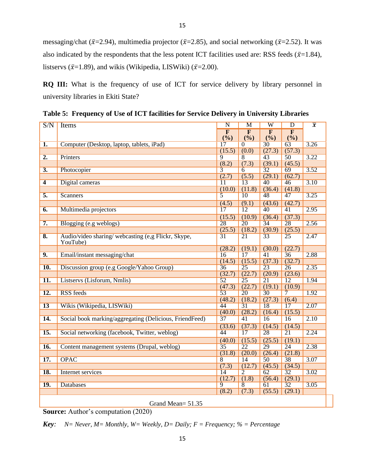messaging/chat ( $\bar{x}$ =2.94), multimedia projector ( $\bar{x}$ =2.85), and social networking ( $\bar{x}$ =2.52). It was also indicated by the respondents that the less potent ICT facilities used are: RSS feeds ( $\bar{x}$ =1.84), listservs ( $\bar{x}$ =1.89), and wikis (Wikipedia, LISWiki) ( $\bar{x}$ =2.00).

**RQ III:** What is the frequency of use of ICT for service delivery by library personnel in university libraries in Ekiti State?

| S/N                       | Items                                                   | $\overline{\mathbf{N}}$ | M                       | $\overline{\text{W}}$   | $\overline{D}$  | $\overline{x}$ |
|---------------------------|---------------------------------------------------------|-------------------------|-------------------------|-------------------------|-----------------|----------------|
|                           |                                                         | $\overline{\mathbf{F}}$ | $\overline{\mathbf{F}}$ | $\overline{\mathbf{F}}$ | $\overline{F}$  |                |
|                           |                                                         | (%)                     | (%)                     | (%)                     | (%)             |                |
| $\overline{1}$ .          | Computer (Desktop, laptop, tablets, iPad)               | 17                      | $\overline{0}$          | $\overline{30}$         | $\overline{63}$ | 3.26           |
|                           |                                                         | (15.5)                  | (0.0)                   | (27.3)                  | (57.3)          |                |
| $\overline{2}$ .          | Printers                                                | $\overline{9}$          | 8                       | $\overline{43}$         | 50              | 3.22           |
|                           |                                                         | (8.2)                   | (7.3)                   | (39.1)                  | (45.5)          |                |
| $\overline{3}$ .          | Photocopier                                             | 3                       | 6                       | $\overline{32}$         | 69              | 3.52           |
|                           |                                                         | (2.7)                   | (5.5)                   | (29.1)                  | (62.7)          |                |
| $\overline{4}$            | Digital cameras                                         | $\overline{11}$         | $\overline{13}$         | $\overline{40}$         | 46              | 3.10           |
|                           |                                                         | (10.0)                  | (11.8)                  | (36.4)                  | (41.8)          |                |
| 5.                        | <b>Scanners</b>                                         | $\overline{5}$          | $\overline{10}$         | 48                      | $\overline{47}$ | 3.25           |
|                           |                                                         | (4.5)                   | (9.1)                   | (43.6)                  | (42.7)          |                |
| 6.                        | Multimedia projectors                                   | 17                      | 12                      | 40                      | 41              | 2.95           |
|                           |                                                         | (15.5)                  | (10.9)                  | (36.4)                  | (37.3)          |                |
| $\overline{7}$ .          | Blogging (e.g weblogs)                                  | 28                      | $\overline{20}$         | $\overline{34}$         | 28              | 2.56           |
|                           |                                                         | (25.5)                  | (18.2)                  | (30.9)                  | (25.5)          |                |
| $\overline{\mathbf{8}}$ . | Audio/video sharing/ webcasting (e,g Flickr, Skype,     | $\overline{31}$         | $\overline{21}$         | $\overline{33}$         | $\overline{25}$ | 2.47           |
|                           | YouTube)                                                |                         |                         |                         |                 |                |
|                           |                                                         | (28.2)                  | (19.1)                  | (30.0)                  | (22.7)          |                |
| 9.                        | Email/instant messaging/chat                            | 16                      | $\overline{17}$         | $\overline{41}$         | $\overline{36}$ | 2.88           |
|                           |                                                         | (14.5)                  | (15.5)                  | (37.3)                  | (32.7)          |                |
| $\overline{10}$ .         | Discussion group (e.g Google/Yahoo Group)               | 36                      | $\overline{25}$         | $\overline{23}$         | $\overline{26}$ | 2.35           |
|                           |                                                         | (32.7)                  | (22.7)                  | (20.9)                  | (23.6)          |                |
| $\overline{11}$ .         | Listservs (Lisforum, Nmlis)                             | $\overline{52}$         | $\overline{25}$         | $\overline{21}$         | $\overline{12}$ | 1.94           |
|                           |                                                         | (47.3)                  | (22.7)                  | (19.1)                  | (10.9)          |                |
| 12.                       | <b>RSS</b> feeds                                        | $\overline{53}$         | $\overline{20}$         | $\overline{30}$         | 7               | 1.92           |
|                           |                                                         | (48.2)                  | (18.2)                  | (27.3)                  | (6.4)           |                |
| $\overline{13}$           | Wikis (Wikipedia, LISWiki)                              | 44                      | $\overline{31}$         | 18                      | $\overline{17}$ | 2.07           |
|                           |                                                         | (40.0)                  | (28.2)                  | (16.4)                  | (15.5)          |                |
| 14.                       | Social book marking/aggregating (Delicious, FriendFeed) | 37                      | $\overline{41}$         | 16                      | 16              | 2.10           |
|                           |                                                         | (33.6)                  | (37.3)                  | (14.5)                  | (14.5)          |                |
| $\overline{15}$ .         | Social networking (facebook, Twitter, weblog)           | 44                      | $\overline{17}$         | $\overline{28}$         | $\overline{21}$ | 2.24           |
|                           |                                                         | (40.0)                  | (15.5)                  | (25.5)                  | (19.1)          |                |
| <b>16.</b>                | Content management systems (Drupal, weblog)             | $\overline{35}$         | $\overline{22}$         | $\overline{29}$         | $\overline{24}$ | 2.38           |
|                           |                                                         | (31.8)                  | (20.0)                  | (26.4)                  | (21.8)          |                |
| 17.                       | <b>OPAC</b>                                             | $\overline{8}$          | 14                      | 50                      | 38              | 3.07           |
|                           |                                                         | (7.3)                   | (12.7)                  | (45.5)                  | (34.5)          |                |
| <b>18.</b>                | Internet services                                       | 14                      | 2                       | 62                      | $\overline{32}$ | 3.02           |
|                           |                                                         | (12.7)                  | (1.8)                   | (56.4)                  | (29.1)          |                |
| <b>19.</b>                | <b>Databases</b>                                        | $\overline{9}$          | $\overline{8}$          | 61                      | $\overline{32}$ | 3.05           |
|                           |                                                         | (8.2)                   | (7.3)                   | (55.5)                  | (29.1)          |                |
|                           |                                                         |                         |                         |                         |                 |                |

**Table 5: Frequency of Use of ICT facilities for Service Delivery in University Libraries**

Grand Mean= 51.35

**Source:** Author's computation (2020)

*Key:*  $N=$  *Never, M= Monthly, W= Weekly, D= Daily; F = Frequency; % = Percentage*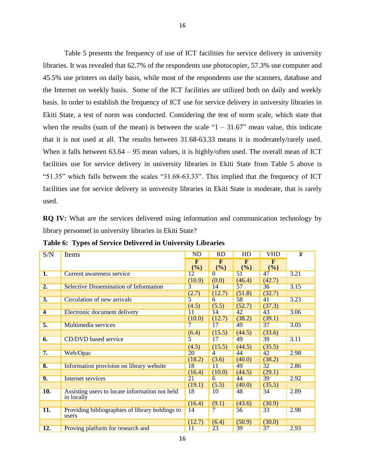Table 5 presents the frequency of use of ICT facilities for service delivery in university libraries. It was revealed that 62.7% of the respondents use photocopier, 57.3% use computer and 45.5% use printers on daily basis, while most of the respondents use the scanners, database and the Internet on weekly basis. Some of the ICT facilities are utilized both on daily and weekly basis. In order to establish the frequency of ICT use for service delivery in university libraries in Ekiti State, a test of norm was conducted. Considering the test of norm scale, which state that when the results (sum of the mean) is between the scale " $1 - 31.67$ " mean value, this indicate that it is not used at all. The results between 31.68-63.33 means it is moderately/rarely used. When it falls between  $63.64 - 95$  mean values, it is highly/often used. The overall mean of ICT facilities use for service delivery in university libraries in Ekiti State from Table 5 above is "51.35" which falls between the scales "31.68-63.33". This implied that the frequency of ICT facilities use for service delivery in university libraries in Ekiti State is moderate, that is rarely used.

**RQ IV:** What are the services delivered using information and communication technology by library personnel in university libraries in Ekiti State?

|  |  |  | Table 6: Types of Service Delivered in University Libraries |  |  |
|--|--|--|-------------------------------------------------------------|--|--|
|--|--|--|-------------------------------------------------------------|--|--|

| S/N              | Items                                                        | ND                  | RD             | HD                       | <b>VHD</b> | $\overline{x}$ |
|------------------|--------------------------------------------------------------|---------------------|----------------|--------------------------|------------|----------------|
|                  |                                                              | $\mathbf{F}$<br>(%) | F<br>(%)       | F<br>$\frac{(\%)}{(\%)}$ | F<br>(%)   |                |
| 1.               | Current awareness service                                    | 12                  | $\Omega$       | 51                       | 47         | 3.21           |
|                  |                                                              | (10.9)              | (0.0)          | (46.4)                   | (42.7)     |                |
| $\overline{2}$ . | <b>Selective Dissemination of Information</b>                | $\overline{3}$      | 14             | 57                       | 36         | 3.15           |
|                  |                                                              | (2.7)               | (12.7)         | (51.8)                   | (32.7)     |                |
| 3.               | Circulation of new arrivals                                  | 5                   | 6              | 58                       | 41         | 3.23           |
|                  |                                                              | (4.5)               | (5.5)          | (52.7)                   | (37.3)     |                |
| 4                | Electronic document delivery                                 | 11                  | 14             | 42                       | 43         | 3.06           |
|                  |                                                              | (10.0)              | (12.7)         | (38.2)                   | (39.1)     |                |
| $\overline{5}$ . | Multimedia services                                          | 7                   | 17             | 49                       | 37         | 3.05           |
|                  |                                                              | (6.4)               | (15.5)         | (44.5)                   | (33.6)     |                |
| 6.               | <b>CD/DVD</b> based service                                  | 5                   | 17             | 49                       | 39         | 3.11           |
|                  |                                                              | (4.5)               | (15.5)         | (44.5)                   | (35.5)     |                |
| 7.               | Web/Opac                                                     | 20                  | $\overline{4}$ | 44                       | 42         | 2.98           |
|                  |                                                              | (18.2)              | (3.6)          | (40.0)                   | (38.2)     |                |
| 8.               | Information provision on library website                     | 18                  | 11             | 49                       | 32         | 2.86           |
|                  |                                                              | (16.4)              | (10.0)         | (44.5)                   | (29.1)     |                |
| 9.               | Internet services                                            | 21                  | 6              | 44                       | 39         | 2.92           |
|                  |                                                              | (19.1)              | (5.5)          | (40.0)                   | (35.5)     |                |
| <b>10.</b>       | Assisting users to locate information not held<br>in locally | 18                  | 10             | 48                       | 34         | 2.89           |
|                  |                                                              | (16.4)              | (9.1)          | (43.6)                   | (30.9)     |                |
| 11.              | Providing bibliographies of library holdings to<br>users     | 14                  | 7              | 56                       | 33         | 2.98           |
|                  |                                                              | (12.7)              | (6.4)          | (50.9)                   | (30.0)     |                |
| 12.              | Proving platform for research and                            | 11                  | 23             | 39                       | 37         | 2.93           |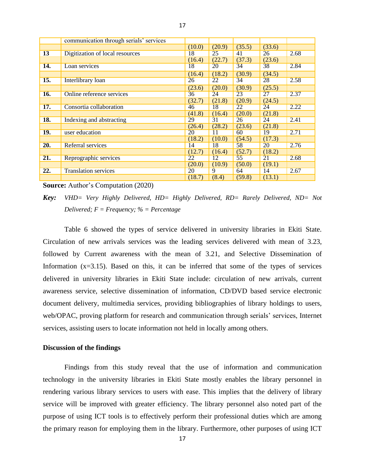|            | communication through serials' services |        |        |                 |        |      |
|------------|-----------------------------------------|--------|--------|-----------------|--------|------|
|            |                                         | (10.0) | (20.9) | (35.5)          | (33.6) |      |
| 13         | Digitization of local resources         | 18     | 25     | 41              | 26     | 2.68 |
|            |                                         | (16.4) | (22.7) | (37.3)          | (23.6) |      |
| 14.        | Loan services                           | 18     | 20     | 34              | 38     | 2.84 |
|            |                                         | (16.4) | (18.2) | (30.9)          | (34.5) |      |
| 15.        | Interlibrary loan                       | 26     | 22     | 34              | 28     | 2.58 |
|            |                                         | (23.6) | (20.0) | (30.9)          | (25.5) |      |
| 16.        | Online reference services               | 36     | 24     | 23              | 27     | 2.37 |
|            |                                         | (32.7) | (21.8) | (20.9)          | (24.5) |      |
| 17.        | Consortia collaboration                 | 46     | 18     | 22              | 24     | 2.22 |
|            |                                         | (41.8) | (16.4) | (20.0)          | (21.8) |      |
| 18.        | Indexing and abstracting                | 29     | 31     | 26              | 24     | 2.41 |
|            |                                         | (26.4) | (28.2) | (23.6)          | (21.8) |      |
| <b>19.</b> | user education                          | 20     | 11     | 60              | 19     | 2.71 |
|            |                                         | (18.2) | (10.0) | (54.5)          | (17.3) |      |
| 20.        | Referral services                       | 14     | 18     | 58              | 20     | 2.76 |
|            |                                         | (12.7) | (16.4) | (52.7)          | (18.2) |      |
| 21.        | Reprographic services                   | 22     | 12     | $\overline{55}$ | 21     | 2.68 |
|            |                                         | (20.0) | (10.9) | (50.0)          | (19.1) |      |
| 22.        | <b>Translation services</b>             | 20     | 9      | 64              | 14     | 2.67 |
|            |                                         | (18.7) | (8.4)  | (59.8)          | (13.1) |      |

**Source:** Author's Computation (2020)

*Key: VHD= Very Highly Delivered, HD= Highly Delivered, RD= Rarely Delivered, ND= Not Delivered; F = Frequency; % = Percentage*

Table 6 showed the types of service delivered in university libraries in Ekiti State. Circulation of new arrivals services was the leading services delivered with mean of 3.23, followed by Current awareness with the mean of 3.21, and Selective Dissemination of Information  $(x=3.15)$ . Based on this, it can be inferred that some of the types of services delivered in university libraries in Ekiti State include: circulation of new arrivals, current awareness service, selective dissemination of information, CD/DVD based service electronic document delivery, multimedia services, providing bibliographies of library holdings to users, web/OPAC, proving platform for research and communication through serials' services, Internet services, assisting users to locate information not held in locally among others.

#### **Discussion of the findings**

Findings from this study reveal that the use of information and communication technology in the university libraries in Ekiti State mostly enables the library personnel in rendering various library services to users with ease. This implies that the delivery of library service will be improved with greater efficiency. The library personnel also noted part of the purpose of using ICT tools is to effectively perform their professional duties which are among the primary reason for employing them in the library. Furthermore, other purposes of using ICT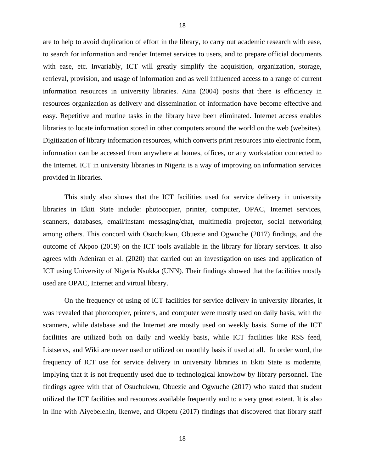are to help to avoid duplication of effort in the library, to carry out academic research with ease, to search for information and render Internet services to users, and to prepare official documents with ease, etc. Invariably, ICT will greatly simplify the acquisition, organization, storage, retrieval, provision, and usage of information and as well influenced access to a range of current information resources in university libraries. Aina (2004) posits that there is efficiency in resources organization as delivery and dissemination of information have become effective and easy. Repetitive and routine tasks in the library have been eliminated. Internet access enables libraries to locate information stored in other computers around the world on the web (websites). Digitization of library information resources, which converts print resources into electronic form, information can be accessed from anywhere at homes, offices, or any workstation connected to the Internet. ICT in university libraries in Nigeria is a way of improving on information services provided in libraries.

This study also shows that the ICT facilities used for service delivery in university libraries in Ekiti State include: photocopier, printer, computer, OPAC, Internet services, scanners, databases, email/instant messaging/chat, multimedia projector, social networking among others. This concord with Osuchukwu, Obuezie and Ogwuche (2017) findings, and the outcome of Akpoo (2019) on the ICT tools available in the library for library services. It also agrees with Adeniran et al. (2020) that carried out an investigation on uses and application of ICT using University of Nigeria Nsukka (UNN). Their findings showed that the facilities mostly used are OPAC, Internet and virtual library.

On the frequency of using of ICT facilities for service delivery in university libraries, it was revealed that photocopier, printers, and computer were mostly used on daily basis, with the scanners, while database and the Internet are mostly used on weekly basis. Some of the ICT facilities are utilized both on daily and weekly basis, while ICT facilities like RSS feed, Listservs, and Wiki are never used or utilized on monthly basis if used at all. In order word, the frequency of ICT use for service delivery in university libraries in Ekiti State is moderate, implying that it is not frequently used due to technological knowhow by library personnel. The findings agree with that of Osuchukwu, Obuezie and Ogwuche (2017) who stated that student utilized the ICT facilities and resources available frequently and to a very great extent. It is also in line with Aiyebelehin, Ikenwe, and Okpetu (2017) findings that discovered that library staff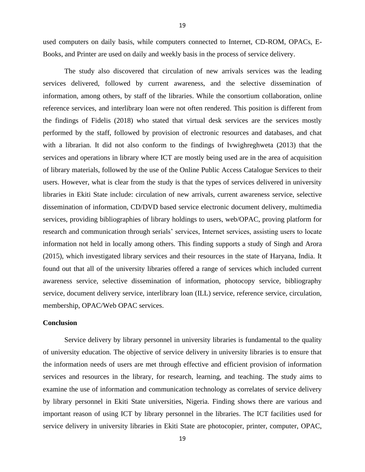used computers on daily basis, while computers connected to Internet, CD-ROM, OPACs, E-Books, and Printer are used on daily and weekly basis in the process of service delivery.

The study also discovered that circulation of new arrivals services was the leading services delivered, followed by current awareness, and the selective dissemination of information, among others, by staff of the libraries. While the consortium collaboration, online reference services, and interlibrary loan were not often rendered. This position is different from the findings of Fidelis (2018) who stated that virtual desk services are the services mostly performed by the staff, followed by provision of electronic resources and databases, and chat with a librarian. It did not also conform to the findings of Ivwighreghweta (2013) that the services and operations in library where ICT are mostly being used are in the area of acquisition of library materials, followed by the use of the Online Public Access Catalogue Services to their users. However, what is clear from the study is that the types of services delivered in university libraries in Ekiti State include: circulation of new arrivals, current awareness service, selective dissemination of information, CD/DVD based service electronic document delivery, multimedia services, providing bibliographies of library holdings to users, web/OPAC, proving platform for research and communication through serials' services, Internet services, assisting users to locate information not held in locally among others. This finding supports a study of Singh and Arora (2015), which investigated library services and their resources in the state of Haryana, India. It found out that all of the university libraries offered a range of services which included current awareness service, selective dissemination of information, photocopy service, bibliography service, document delivery service, interlibrary loan (ILL) service, reference service, circulation, membership, OPAC/Web OPAC services.

#### **Conclusion**

Service delivery by library personnel in university libraries is fundamental to the quality of university education. The objective of service delivery in university libraries is to ensure that the information needs of users are met through effective and efficient provision of information services and resources in the library, for research, learning, and teaching. The study aims to examine the use of information and communication technology as correlates of service delivery by library personnel in Ekiti State universities, Nigeria. Finding shows there are various and important reason of using ICT by library personnel in the libraries. The ICT facilities used for service delivery in university libraries in Ekiti State are photocopier, printer, computer, OPAC,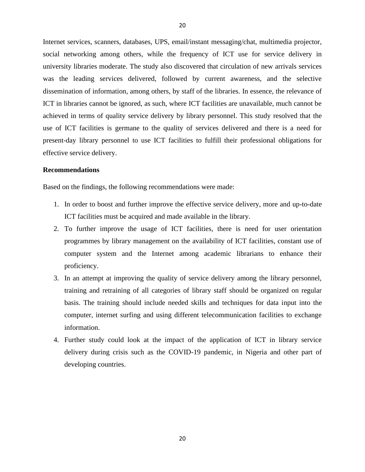Internet services, scanners, databases, UPS, email/instant messaging/chat, multimedia projector, social networking among others, while the frequency of ICT use for service delivery in university libraries moderate. The study also discovered that circulation of new arrivals services was the leading services delivered, followed by current awareness, and the selective dissemination of information, among others, by staff of the libraries. In essence, the relevance of ICT in libraries cannot be ignored, as such, where ICT facilities are unavailable, much cannot be achieved in terms of quality service delivery by library personnel. This study resolved that the use of ICT facilities is germane to the quality of services delivered and there is a need for present-day library personnel to use ICT facilities to fulfill their professional obligations for effective service delivery.

#### **Recommendations**

Based on the findings, the following recommendations were made:

- 1. In order to boost and further improve the effective service delivery, more and up-to-date ICT facilities must be acquired and made available in the library.
- 2. To further improve the usage of ICT facilities, there is need for user orientation programmes by library management on the availability of ICT facilities, constant use of computer system and the Internet among academic librarians to enhance their proficiency.
- 3. In an attempt at improving the quality of service delivery among the library personnel, training and retraining of all categories of library staff should be organized on regular basis. The training should include needed skills and techniques for data input into the computer, internet surfing and using different telecommunication facilities to exchange information.
- 4. Further study could look at the impact of the application of ICT in library service delivery during crisis such as the COVID-19 pandemic, in Nigeria and other part of developing countries.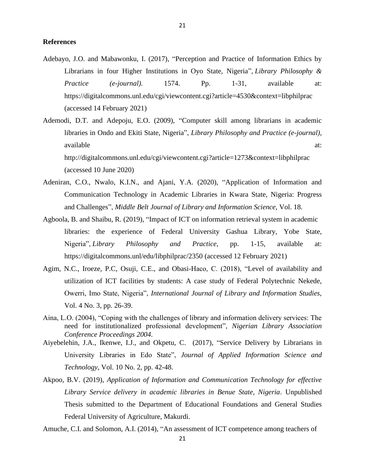#### **References**

- Adebayo, J.O. and Mabawonku, I. (2017), "Perception and Practice of Information Ethics by Librarians in four Higher Institutions in Oyo State, Nigeria"*, Library Philosophy & Practice (e-journal).* 1574. Pp. 1-31*,* available at: https://digitalcommons.unl.edu/cgi/viewcontent.cgi?article=4530&context=libphilprac (accessed 14 February 2021)
- Ademodi, D.T. and Adepoju, E.O. (2009), "Computer skill among librarians in academic libraries in Ondo and Ekiti State, Nigeria", *Library Philosophy and Practice (e-journal),*  available at:  $\overline{a}$  at:  $\overline{a}$  at: http://digitalcommons.unl.edu/cgi/viewcontent.cgi?article=1273&context=libphilprac (accessed 10 June 2020)
- Adeniran, C.O., Nwalo, K.I.N., and Ajani, Y.A. (2020), "Application of Information and Communication Technology in Academic Libraries in Kwara State, Nigeria: Progress and Challenges", *Middle Belt Journal of Library and Information Science*, Vol. 18.
- Agboola, B. and Shaibu, R. (2019), "Impact of ICT on information retrieval system in academic libraries: the experience of Federal University Gashua Library, Yobe State, Nigeria", *Library Philosophy and Practice*, pp. 1-15, available at: https://digitalcommons.unl/edu/libphilprac/2350 (accessed 12 February 2021)
- Agim, N.C., Iroeze, P.C, Osuji, C.E., and Obasi-Haco, C. (2018), "Level of availability and utilization of ICT facilities by students: A case study of Federal Polytechnic Nekede, Owerri, Imo State, Nigeria", *International Journal of Library and Information Studies,* Vol. 4 No. 3, pp. 26-39.
- Aina, L.O. (2004), "Coping with the challenges of library and information delivery services: The need for institutionalized professional development", *Nigerian Library Association Conference Proceedings 2004*.
- Aiyebelehin, J.A., Ikenwe, I.J., and Okpetu, C. (2017), "Service Delivery by Librarians in University Libraries in Edo State", *Journal of Applied Information Science and Technology,* Vol. 10 No. 2, pp. 42-48.
- Akpoo, B.V. (2019), *Application of Information and Communication Technology for effective Library Service delivery in academic libraries in Benue State, Nigeria*. Unpublished Thesis submitted to the Department of Educational Foundations and General Studies Federal University of Agriculture, Makurdi.

Amuche, C.I. and Solomon, A.I. (2014), "An assessment of ICT competence among teachers of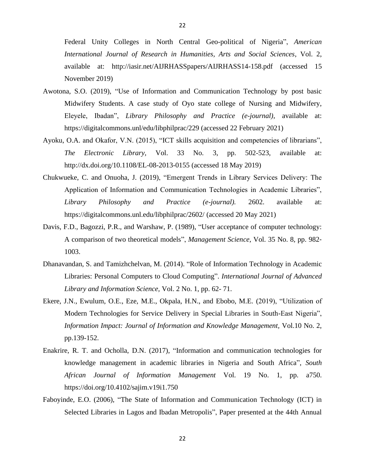Federal Unity Colleges in North Central Geo-political of Nigeria", *American International Journal of Research in Humanities, Arts and Social Sciences*, Vol. 2, available at: http://iasir.net/AIJRHASSpapers/AIJRHASS14-158.pdf (accessed 15 November 2019)

- Awotona, S.O. (2019), "Use of Information and Communication Technology by post basic Midwifery Students. A case study of Oyo state college of Nursing and Midwifery, Eleyele, Ibadan", *Library Philosophy and Practice (e-journal),* available at: https://digitalcommons.unl/edu/libphilprac/229 (accessed 22 February 2021)
- Ayoku, O.A. and Okafor, V.N. (2015), "ICT skills acquisition and competencies of librarians", *The Electronic Library,* Vol. 33 No. 3, pp. 502-523, available at: http://dx.doi.org/10.1108/EL-08-2013-0155 (accessed 18 May 2019)
- Chukwueke, C. and Onuoha, J. (2019), "Emergent Trends in Library Services Delivery: The Application of Information and Communication Technologies in Academic Libraries", *Library Philosophy and Practice (e-journal).* 2602. available at: https://digitalcommons.unl.edu/libphilprac/2602/ (accessed 20 May 2021)
- Davis, F.D., Bagozzi, P.R., and Warshaw, P. (1989), "User acceptance of computer technology: A comparison of two theoretical models", *Management Science,* Vol. 35 No. 8*,* pp. 982‐ 1003.
- Dhanavandan, S. and Tamizhchelvan, M. (2014). "Role of Information Technology in Academic Libraries: Personal Computers to Cloud Computing". *International Journal of Advanced Library and Information Science,* Vol. 2 No. 1, pp. 62- 71.
- Ekere, J.N., Ewulum, O.E., Eze, M.E., Okpala, H.N., and Ebobo, M.E. (2019), "Utilization of Modern Technologies for Service Delivery in Special Libraries in South-East Nigeria", *Information Impact: Journal of Information and Knowledge Management,* Vol.10 No. 2, pp.139-152.
- Enakrire, R. T. and Ocholla, D.N. (2017), "Information and communication technologies for knowledge management in academic libraries in Nigeria and South Africa", *South African Journal of Information Management* Vol. 19 No. 1, pp. a750. https://doi.org/10.4102/sajim.v19i1.750
- Faboyinde, E.O. (2006), "The State of Information and Communication Technology (ICT) in Selected Libraries in Lagos and Ibadan Metropolis", Paper presented at the 44th Annual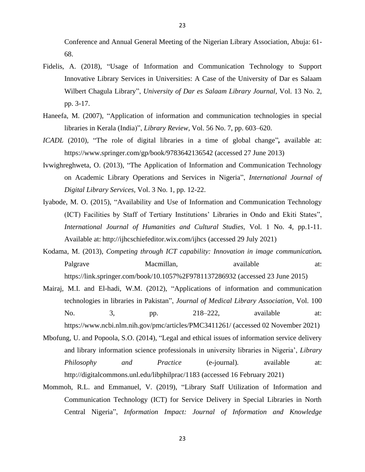Conference and Annual General Meeting of the Nigerian Library Association, Abuja: 61- 68.

- Fidelis, A. (2018), "Usage of Information and Communication Technology to Support Innovative Library Services in Universities: A Case of the University of Dar es Salaam Wilbert Chagula Library", *University of Dar es Salaam Library Journal,* Vol. 13 No. 2, pp. 3-17.
- Haneefa, M. (2007), "Application of information and communication technologies in special libraries in Kerala (India)", *Library Review,* Vol. 56 No. 7, pp. 603–620.
- *ICADL* (2010), "The role of digital libraries in a time of global change"*,* available at: https://www.springer.com/gp/book/9783642136542 (accessed 27 June 2013)
- Ivwighreghweta, O. (2013), "The Application of Information and Communication Technology on Academic Library Operations and Services in Nigeria", *International Journal of Digital Library Services,* Vol. 3 No. 1, pp. 12-22.
- Iyabode, M. O. (2015), "Availability and Use of Information and Communication Technology (ICT) Facilities by Staff of Tertiary Institutions' Libraries in Ondo and Ekiti States", *International Journal of Humanities and Cultural Studies,* Vol. 1 No. 4, pp.1-11. Available at: http://ijhcschiefeditor.wix.com/ijhcs (accessed 29 July 2021)
- Kodama, M. (2013), *Competing through ICT capability: Innovation in image communication.* Palgrave Macmillan, available at: https://link.springer.com/book/10.1057%2F9781137286932 (accessed 23 June 2015)
- Mairaj, M.I. and El-hadi, W.M. (2012), "Applications of information and communication technologies in libraries in Pakistan", *[Journal of Medical Library Association](https://www.ncbi.nlm.nih.gov/pmc/articles/PMC3411261/)*, Vol. 100 No. 3, pp. 218–222, available at: https://www.ncbi.nlm.nih.gov/pmc/articles/PMC3411261/ (accessed 02 November 2021)
- Mbofung, U. and Popoola, S.O. (2014), "Legal and ethical issues of information service delivery and library information science professionals in university libraries in Nigeria', *Library Philosophy and Practice* (e-journal)*.* available at: http://digitalcommons.unl.edu/libphilprac/1183 (accessed 16 February 2021)
- Mommoh, R.L. and Emmanuel, V. (2019), "Library Staff Utilization of Information and Communication Technology (ICT) for Service Delivery in Special Libraries in North Central Nigeria", *Information Impact: Journal of Information and Knowledge*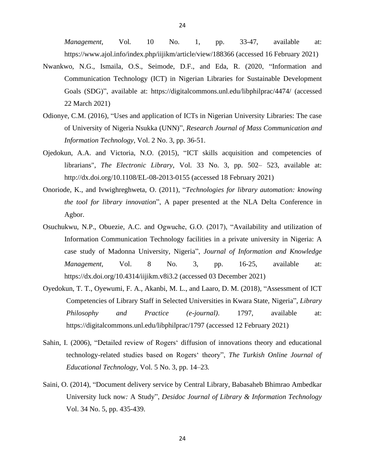*Management,* Vol*.* 10 No. 1, pp. 33-47, available at: https://www.ajol.info/index.php/iijikm/article/view/188366 (accessed 16 February 2021)

- Nwankwo, N.G., Ismaila, O.S., Seimode, D.F., and Eda, R. (2020, "Information and Communication Technology (ICT) in Nigerian Libraries for Sustainable Development Goals (SDG)", available at: https://digitalcommons.unl.edu/libphilprac/4474/ (accessed 22 March 2021)
- Odionye, C.M. (2016), "Uses and application of ICTs in Nigerian University Libraries: The case of University of Nigeria Nsukka (UNN)", *Research Journal of Mass Communication and Information Technology*, Vol. 2 No. 3, pp. 36-51.
- Ojedokun, A.A. and Victoria, N.O. (2015), "ICT skills acquisition and competencies of librarians", *The Electronic Library*, Vol. 33 No. 3, pp. 502– 523, available at: http://dx.doi.org/10.1108/EL-08-2013-0155 (accessed 18 February 2021)
- Onoriode, K., and Ivwighreghweta, O. (2011), "*Technologies for library automation: knowing the tool for library innovation*", A paper presented at the NLA Delta Conference in Agbor.
- Osuchukwu, N.P., Obuezie, A.C. and Ogwuche, G.O. (2017), "Availability and utilization of Information Communication Technology facilities in a private university in Nigeria: A case study of Madonna University, Nigeria", *Journal of Information and Knowledge Management,* Vol. 8 No. 3, pp. 16-25, available at: <https://dx.doi.org/10.4314/iijikm.v8i3.2> (accessed 03 December 2021)
- Oyedokun, T. T., Oyewumi, F. A., Akanbi, M. L., and Laaro, D. M. (2018), "Assessment of ICT Competencies of Library Staff in Selected Universities in Kwara State, Nigeria", *Library Philosophy and Practice (e-journal)*. 1797, available at: https://digitalcommons.unl.edu/libphilprac/1797 (accessed 12 February 2021)
- Sahin, I. (2006), "Detailed review of Rogers' diffusion of innovations theory and educational technology-related studies based on Rogers' theory", *The Turkish Online Journal of Educational Technology,* Vol. 5 No. 3, pp. 14–23*.*
- Saini, O. (2014), "Document delivery service by Central Library, Babasaheb Bhimrao Ambedkar University luck now*:* A Study", *Desidoc Journal of Library & Information Technology*  Vol. 34 No. 5, pp. 435-439.